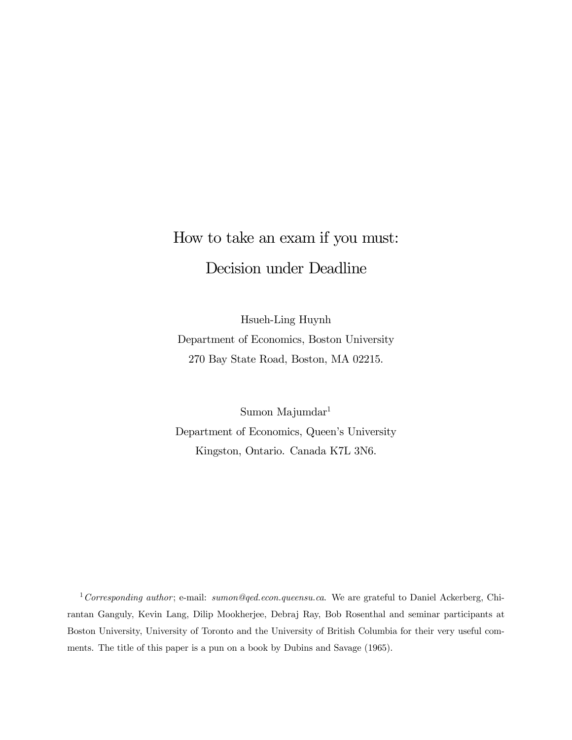# How to take an exam if you must: Decision under Deadline

Hsueh-Ling Huynh Department of Economics, Boston University 270 Bay State Road, Boston, MA 02215.

Sumon Majumdar1 Department of Economics, Queen's University Kingston, Ontario. Canada K7L 3N6.

<sup>1</sup> Corresponding author; e-mail: sumon@qed.econ.queensu.ca. We are grateful to Daniel Ackerberg, Chirantan Ganguly, Kevin Lang, Dilip Mookherjee, Debraj Ray, Bob Rosenthal and seminar participants at Boston University, University of Toronto and the University of British Columbia for their very useful comments. The title of this paper is a pun on a book by Dubins and Savage (1965).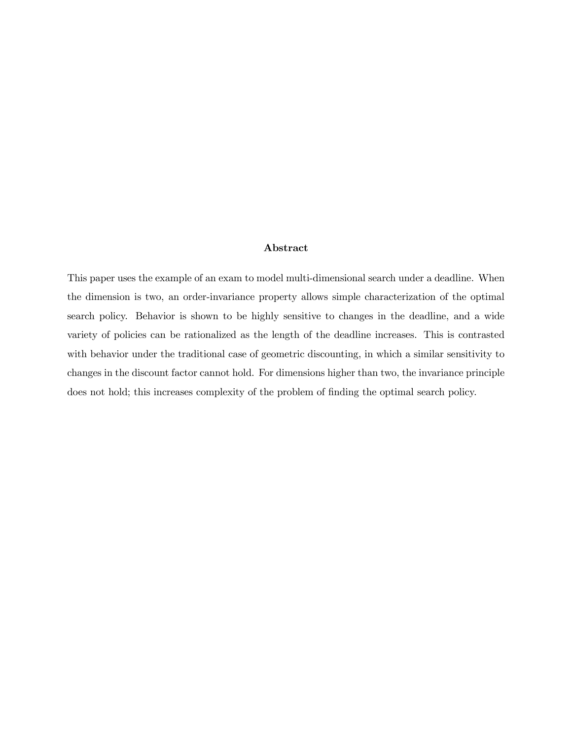## Abstract

This paper uses the example of an exam to model multi-dimensional search under a deadline. When the dimension is two, an order-invariance property allows simple characterization of the optimal search policy. Behavior is shown to be highly sensitive to changes in the deadline, and a wide variety of policies can be rationalized as the length of the deadline increases. This is contrasted with behavior under the traditional case of geometric discounting, in which a similar sensitivity to changes in the discount factor cannot hold. For dimensions higher than two, the invariance principle does not hold; this increases complexity of the problem of finding the optimal search policy.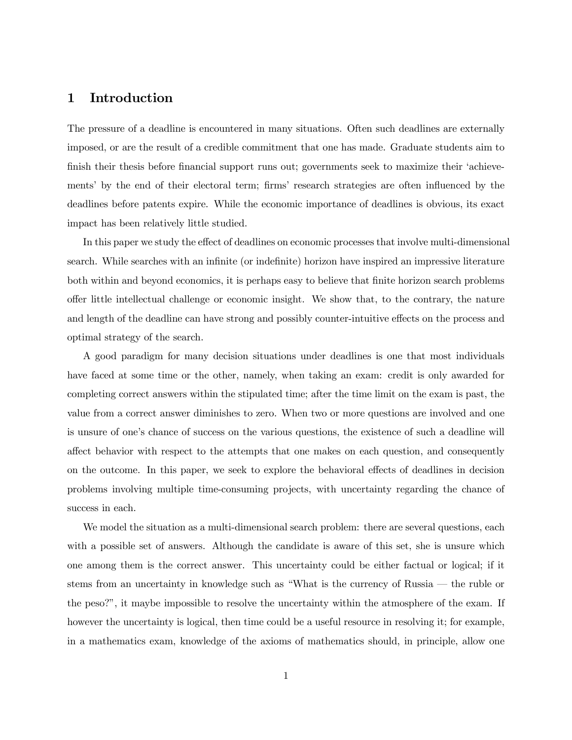## 1 Introduction

The pressure of a deadline is encountered in many situations. Often such deadlines are externally imposed, or are the result of a credible commitment that one has made. Graduate students aim to finish their thesis before financial support runs out; governments seek to maximize their 'achievements' by the end of their electoral term; firms' research strategies are often influenced by the deadlines before patents expire. While the economic importance of deadlines is obvious, its exact impact has been relatively little studied.

In this paper we study the effect of deadlines on economic processes that involve multi-dimensional search. While searches with an infinite (or indefinite) horizon have inspired an impressive literature both within and beyond economics, it is perhaps easy to believe that finite horizon search problems offer little intellectual challenge or economic insight. We show that, to the contrary, the nature and length of the deadline can have strong and possibly counter-intuitive effects on the process and optimal strategy of the search.

A good paradigm for many decision situations under deadlines is one that most individuals have faced at some time or the other, namely, when taking an exam: credit is only awarded for completing correct answers within the stipulated time; after the time limit on the exam is past, the value from a correct answer diminishes to zero. When two or more questions are involved and one is unsure of one's chance of success on the various questions, the existence of such a deadline will affect behavior with respect to the attempts that one makes on each question, and consequently on the outcome. In this paper, we seek to explore the behavioral effects of deadlines in decision problems involving multiple time-consuming projects, with uncertainty regarding the chance of success in each.

We model the situation as a multi-dimensional search problem: there are several questions, each with a possible set of answers. Although the candidate is aware of this set, she is unsure which one among them is the correct answer. This uncertainty could be either factual or logical; if it stems from an uncertainty in knowledge such as "What is the currency of Russia – the ruble or the peso?", it maybe impossible to resolve the uncertainty within the atmosphere of the exam. If however the uncertainty is logical, then time could be a useful resource in resolving it; for example, in a mathematics exam, knowledge of the axioms of mathematics should, in principle, allow one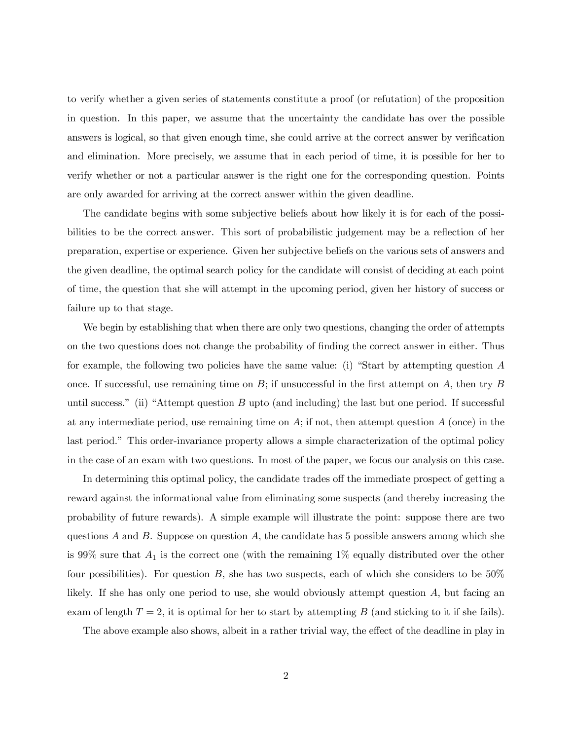to verify whether a given series of statements constitute a proof (or refutation) of the proposition in question. In this paper, we assume that the uncertainty the candidate has over the possible answers is logical, so that given enough time, she could arrive at the correct answer by verification and elimination. More precisely, we assume that in each period of time, it is possible for her to verify whether or not a particular answer is the right one for the corresponding question. Points are only awarded for arriving at the correct answer within the given deadline.

The candidate begins with some subjective beliefs about how likely it is for each of the possibilities to be the correct answer. This sort of probabilistic judgement may be a reflection of her preparation, expertise or experience. Given her subjective beliefs on the various sets of answers and the given deadline, the optimal search policy for the candidate will consist of deciding at each point of time, the question that she will attempt in the upcoming period, given her history of success or failure up to that stage.

We begin by establishing that when there are only two questions, changing the order of attempts on the two questions does not change the probability of finding the correct answer in either. Thus for example, the following two policies have the same value: (i) "Start by attempting question A once. If successful, use remaining time on  $B$ ; if unsuccessful in the first attempt on  $A$ , then try  $B$ until success." (ii) "Attempt question  $B$  upto (and including) the last but one period. If successful at any intermediate period, use remaining time on  $A$ ; if not, then attempt question  $A$  (once) in the last period." This order-invariance property allows a simple characterization of the optimal policy in the case of an exam with two questions. In most of the paper, we focus our analysis on this case.

In determining this optimal policy, the candidate trades off the immediate prospect of getting a reward against the informational value from eliminating some suspects (and thereby increasing the probability of future rewards). A simple example will illustrate the point: suppose there are two questions A and B. Suppose on question A, the candidate has 5 possible answers among which she is 99% sure that  $A_1$  is the correct one (with the remaining 1% equally distributed over the other four possibilities). For question  $B$ , she has two suspects, each of which she considers to be  $50\%$ likely. If she has only one period to use, she would obviously attempt question A, but facing an exam of length  $T = 2$ , it is optimal for her to start by attempting B (and sticking to it if she fails).

The above example also shows, albeit in a rather trivial way, the effect of the deadline in play in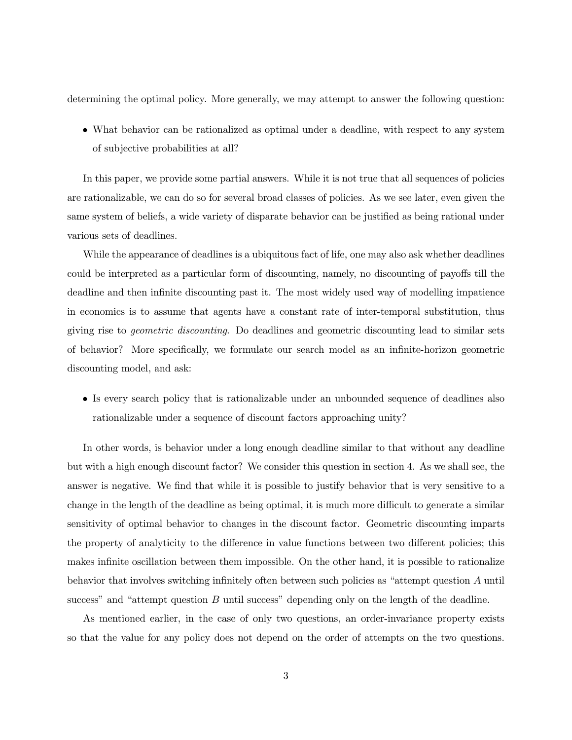determining the optimal policy. More generally, we may attempt to answer the following question:

• What behavior can be rationalized as optimal under a deadline, with respect to any system of subjective probabilities at all?

In this paper, we provide some partial answers. While it is not true that all sequences of policies are rationalizable, we can do so for several broad classes of policies. As we see later, even given the same system of beliefs, a wide variety of disparate behavior can be justified as being rational under various sets of deadlines.

While the appearance of deadlines is a ubiquitous fact of life, one may also ask whether deadlines could be interpreted as a particular form of discounting, namely, no discounting of payoffs till the deadline and then infinite discounting past it. The most widely used way of modelling impatience in economics is to assume that agents have a constant rate of inter-temporal substitution, thus giving rise to geometric discounting. Do deadlines and geometric discounting lead to similar sets of behavior? More specifically, we formulate our search model as an infinite-horizon geometric discounting model, and ask:

• Is every search policy that is rationalizable under an unbounded sequence of deadlines also rationalizable under a sequence of discount factors approaching unity?

In other words, is behavior under a long enough deadline similar to that without any deadline but with a high enough discount factor? We consider this question in section 4. As we shall see, the answer is negative. We find that while it is possible to justify behavior that is very sensitive to a change in the length of the deadline as being optimal, it is much more difficult to generate a similar sensitivity of optimal behavior to changes in the discount factor. Geometric discounting imparts the property of analyticity to the difference in value functions between two different policies; this makes infinite oscillation between them impossible. On the other hand, it is possible to rationalize behavior that involves switching infinitely often between such policies as "attempt question A until success" and "attempt question  $B$  until success" depending only on the length of the deadline.

As mentioned earlier, in the case of only two questions, an order-invariance property exists so that the value for any policy does not depend on the order of attempts on the two questions.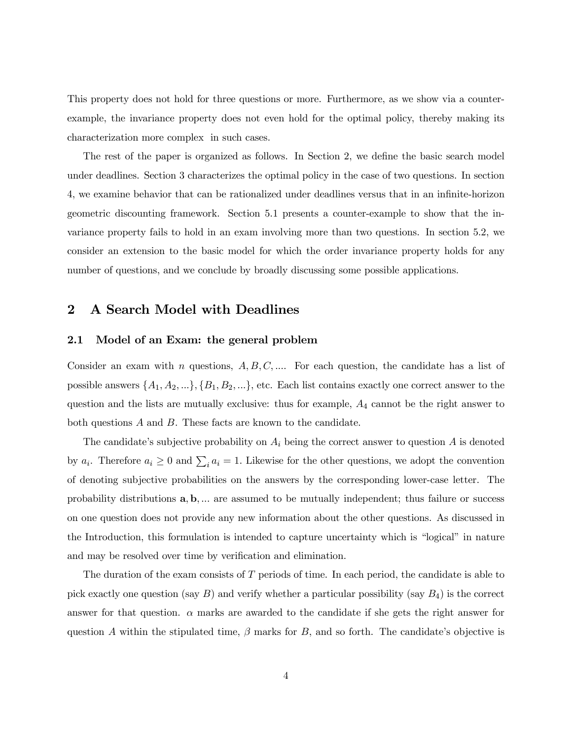This property does not hold for three questions or more. Furthermore, as we show via a counterexample, the invariance property does not even hold for the optimal policy, thereby making its characterization more complex in such cases.

The rest of the paper is organized as follows. In Section 2, we define the basic search model under deadlines. Section 3 characterizes the optimal policy in the case of two questions. In section 4, we examine behavior that can be rationalized under deadlines versus that in an infinite-horizon geometric discounting framework. Section 5.1 presents a counter-example to show that the invariance property fails to hold in an exam involving more than two questions. In section 5.2, we consider an extension to the basic model for which the order invariance property holds for any number of questions, and we conclude by broadly discussing some possible applications.

## 2 A Search Model with Deadlines

#### 2.1 Model of an Exam: the general problem

Consider an exam with n questions,  $A, B, C, \ldots$  For each question, the candidate has a list of possible answers  $\{A_1, A_2, ...\}$ ,  $\{B_1, B_2, ...\}$ , etc. Each list contains exactly one correct answer to the question and the lists are mutually exclusive: thus for example,  $A_4$  cannot be the right answer to both questions A and B. These facts are known to the candidate.

The candidate's subjective probability on  $A_i$  being the correct answer to question  $A$  is denoted by  $a_i$ . Therefore  $a_i \geq 0$  and  $\sum_i a_i = 1$ . Likewise for the other questions, we adopt the convention of denoting subjective probabilities on the answers by the corresponding lower-case letter. The probability distributions a, b, ... are assumed to be mutually independent; thus failure or success on one question does not provide any new information about the other questions. As discussed in the Introduction, this formulation is intended to capture uncertainty which is "logical" in nature and may be resolved over time by verification and elimination.

The duration of the exam consists of T periods of time. In each period, the candidate is able to pick exactly one question (say  $B$ ) and verify whether a particular possibility (say  $B_4$ ) is the correct answer for that question.  $\alpha$  marks are awarded to the candidate if she gets the right answer for question A within the stipulated time,  $\beta$  marks for B, and so forth. The candidate's objective is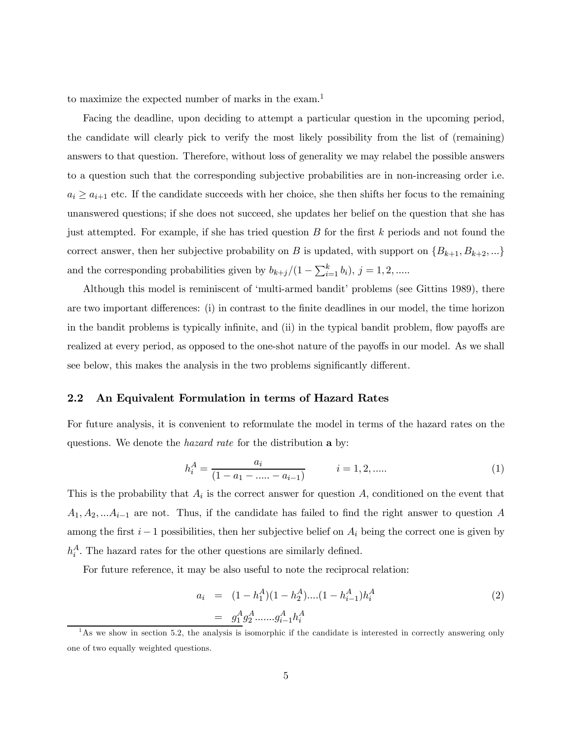to maximize the expected number of marks in the exam.<sup>1</sup>

Facing the deadline, upon deciding to attempt a particular question in the upcoming period, the candidate will clearly pick to verify the most likely possibility from the list of (remaining) answers to that question. Therefore, without loss of generality we may relabel the possible answers to a question such that the corresponding subjective probabilities are in non-increasing order i.e.  $a_i \ge a_{i+1}$  etc. If the candidate succeeds with her choice, she then shifts her focus to the remaining unanswered questions; if she does not succeed, she updates her belief on the question that she has just attempted. For example, if she has tried question  $B$  for the first  $k$  periods and not found the correct answer, then her subjective probability on B is updated, with support on  $\{B_{k+1}, B_{k+2}, ...\}$ and the corresponding probabilities given by  $b_{k+j}/(1-\sum_{i=1}^{k} b_i)$ ,  $j=1,2,......$ 

Although this model is reminiscent of 'multi-armed bandit' problems (see Gittins 1989), there are two important differences: (i) in contrast to the finite deadlines in our model, the time horizon in the bandit problems is typically infinite, and (ii) in the typical bandit problem, flow payoffs are realized at every period, as opposed to the one-shot nature of the payoffs in our model. As we shall see below, this makes the analysis in the two problems significantly different.

## 2.2 An Equivalent Formulation in terms of Hazard Rates

For future analysis, it is convenient to reformulate the model in terms of the hazard rates on the questions. We denote the *hazard rate* for the distribution **a** by:

$$
h_i^A = \frac{a_i}{(1 - a_1 - \dots - a_{i-1})} \qquad i = 1, 2, \dots
$$
 (1)

This is the probability that  $A_i$  is the correct answer for question  $A$ , conditioned on the event that  $A_1, A_2, \ldots A_{i-1}$  are not. Thus, if the candidate has failed to find the right answer to question A among the first  $i - 1$  possibilities, then her subjective belief on  $A_i$  being the correct one is given by  $h_i^A$ . The hazard rates for the other questions are similarly defined.

For future reference, it may be also useful to note the reciprocal relation:

$$
a_i = (1 - h_1^A)(1 - h_2^A) \dots (1 - h_{i-1}^A) h_i^A
$$
  
=  $g_1^A g_2^A \dots g_{i-1}^A h_i^A$  (2)

 $1<sup>1</sup>$ As we show in section 5.2, the analysis is isomorphic if the candidate is interested in correctly answering only one of two equally weighted questions.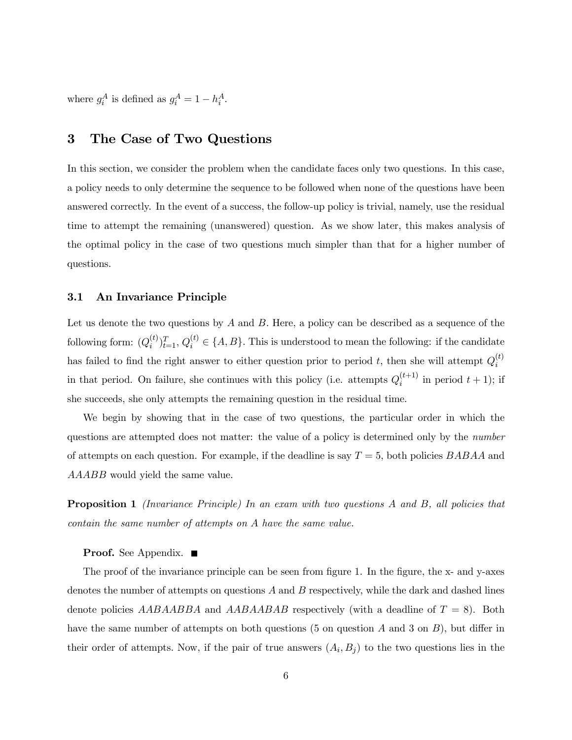where  $g_i^A$  is defined as  $g_i^A = 1 - h_i^A$ .

# 3 The Case of Two Questions

In this section, we consider the problem when the candidate faces only two questions. In this case, a policy needs to only determine the sequence to be followed when none of the questions have been answered correctly. In the event of a success, the follow-up policy is trivial, namely, use the residual time to attempt the remaining (unanswered) question. As we show later, this makes analysis of the optimal policy in the case of two questions much simpler than that for a higher number of questions.

## 3.1 An Invariance Principle

Let us denote the two questions by  $A$  and  $B$ . Here, a policy can be described as a sequence of the following form:  $(Q_i^{(t)})_{t=1}^T, Q_i^{(t)} \in \{A, B\}$ . This is understood to mean the following: if the candidate has failed to find the right answer to either question prior to period t, then she will attempt  $Q_i^{(t)}$ in that period. On failure, she continues with this policy (i.e. attempts  $Q_i^{(t+1)}$  in period  $t + 1$ ); if she succeeds, she only attempts the remaining question in the residual time.

We begin by showing that in the case of two questions, the particular order in which the questions are attempted does not matter: the value of a policy is determined only by the number of attempts on each question. For example, if the deadline is say  $T = 5$ , both policies  $BABAA$  and AAABB would yield the same value.

**Proposition 1** (Invariance Principle) In an exam with two questions A and B, all policies that contain the same number of attempts on A have the same value.

#### Proof. See Appendix. ■

The proof of the invariance principle can be seen from figure 1. In the figure, the x- and y-axes denotes the number of attempts on questions  $A$  and  $B$  respectively, while the dark and dashed lines denote policies AABAABBA and AABAABAB respectively (with a deadline of  $T = 8$ ). Both have the same number of attempts on both questions (5 on question A and 3 on B), but differ in their order of attempts. Now, if the pair of true answers  $(A_i, B_j)$  to the two questions lies in the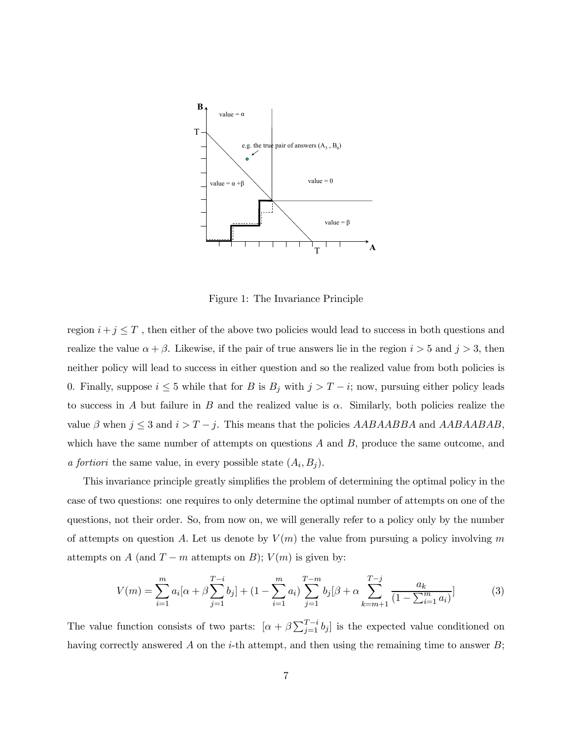

Figure 1: The Invariance Principle

region  $i + j \leq T$ , then either of the above two policies would lead to success in both questions and realize the value  $\alpha + \beta$ . Likewise, if the pair of true answers lie in the region  $i > 5$  and  $j > 3$ , then neither policy will lead to success in either question and so the realized value from both policies is 0. Finally, suppose  $i \leq 5$  while that for B is  $B_j$  with  $j>T-i$ ; now, pursuing either policy leads to success in A but failure in B and the realized value is  $\alpha$ . Similarly, both policies realize the value  $\beta$  when  $j \leq 3$  and  $i>T-j$ . This means that the policies  $AABAABBA$  and  $AABAABAB$ , which have the same number of attempts on questions  $A$  and  $B$ , produce the same outcome, and a fortiori the same value, in every possible state  $(A_i, B_i)$ .

This invariance principle greatly simplifies the problem of determining the optimal policy in the case of two questions: one requires to only determine the optimal number of attempts on one of the questions, not their order. So, from now on, we will generally refer to a policy only by the number of attempts on question A. Let us denote by  $V(m)$  the value from pursuing a policy involving m attempts on A (and  $T - m$  attempts on B);  $V(m)$  is given by:

$$
V(m) = \sum_{i=1}^{m} a_i [\alpha + \beta \sum_{j=1}^{T-i} b_j] + (1 - \sum_{i=1}^{m} a_i) \sum_{j=1}^{T-m} b_j [\beta + \alpha \sum_{k=m+1}^{T-j} \frac{a_k}{(1 - \sum_{i=1}^{m} a_i)}]
$$
(3)

The value function consists of two parts:  $[\alpha + \beta \sum_{j=1}^{T-i} b_j]$  is the expected value conditioned on having correctly answered A on the *i*-th attempt, and then using the remaining time to answer  $B$ ;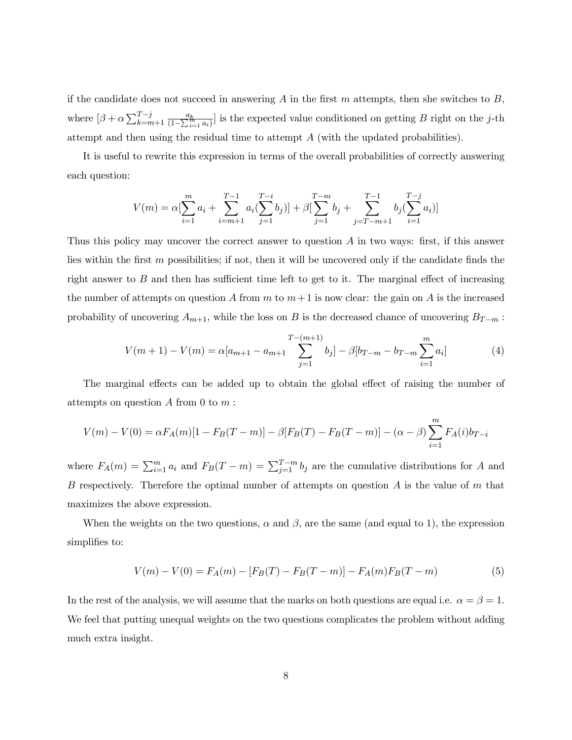if the candidate does not succeed in answering A in the first  $m$  attempts, then she switches to  $B$ , where  $[\beta + \alpha \sum_{k=m+1}^{T-j} \frac{a_k}{(1-\sum_{i=1}^m a_i)}]$  is the expected value conditioned on getting B right on the j-th attempt and then using the residual time to attempt A (with the updated probabilities).

It is useful to rewrite this expression in terms of the overall probabilities of correctly answering each question:

$$
V(m) = \alpha \left[ \sum_{i=1}^{m} a_i + \sum_{i=m+1}^{T-1} a_i \left( \sum_{j=1}^{T-i} b_j \right) \right] + \beta \left[ \sum_{j=1}^{T-m} b_j + \sum_{j=T-m+1}^{T-1} b_j \left( \sum_{i=1}^{T-j} a_i \right) \right]
$$

Thus this policy may uncover the correct answer to question A in two ways: first, if this answer lies within the first  $m$  possibilities; if not, then it will be uncovered only if the candidate finds the right answer to B and then has sufficient time left to get to it. The marginal effect of increasing the number of attempts on question A from m to  $m+1$  is now clear: the gain on A is the increased probability of uncovering  $A_{m+1}$ , while the loss on B is the decreased chance of uncovering  $B_{T-m}$ :

$$
V(m+1) - V(m) = \alpha[a_{m+1} - a_{m+1} \sum_{j=1}^{T-(m+1)} b_j] - \beta[b_{T-m} - b_{T-m} \sum_{i=1}^{m} a_i]
$$
(4)

The marginal effects can be added up to obtain the global effect of raising the number of attempts on question  $A$  from  $0$  to  $m$ :

$$
V(m) - V(0) = \alpha F_A(m)[1 - F_B(T - m)] - \beta [F_B(T) - F_B(T - m)] - (\alpha - \beta) \sum_{i=1}^{m} F_A(i) b_{T-i}
$$

where  $F_A(m) = \sum_{i=1}^m a_i$  and  $F_B(T-m) = \sum_{j=1}^{T-m} b_j$  are the cumulative distributions for A and B respectively. Therefore the optimal number of attempts on question  $A$  is the value of  $m$  that maximizes the above expression.

When the weights on the two questions,  $\alpha$  and  $\beta$ , are the same (and equal to 1), the expression simplifies to:

$$
V(m) - V(0) = F_A(m) - [F_B(T) - F_B(T - m)] - F_A(m)F_B(T - m)
$$
\n(5)

In the rest of the analysis, we will assume that the marks on both questions are equal i.e.  $\alpha = \beta = 1$ . We feel that putting unequal weights on the two questions complicates the problem without adding much extra insight.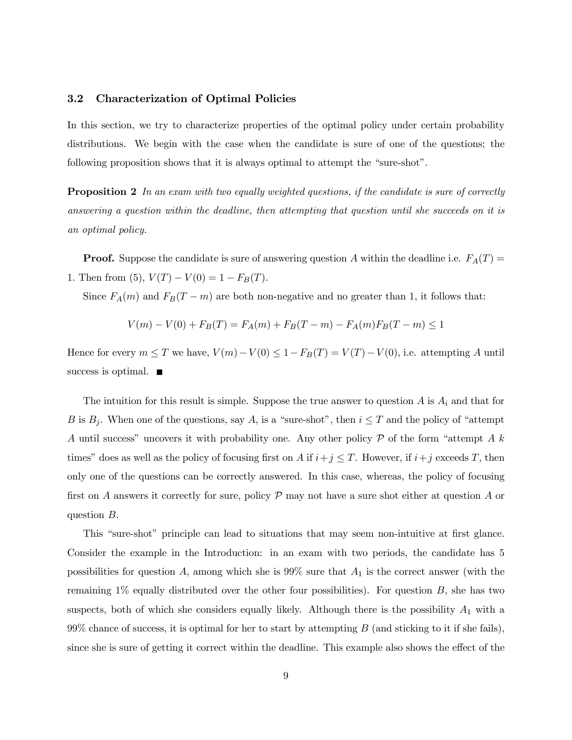## 3.2 Characterization of Optimal Policies

In this section, we try to characterize properties of the optimal policy under certain probability distributions. We begin with the case when the candidate is sure of one of the questions; the following proposition shows that it is always optimal to attempt the "sure-shot".

**Proposition 2** In an exam with two equally weighted questions, if the candidate is sure of correctly answering a question within the deadline, then attempting that question until she succeeds on it is an optimal policy.

**Proof.** Suppose the candidate is sure of answering question A within the deadline i.e.  $F_A(T)$ 1. Then from (5),  $V(T) - V(0) = 1 - F_B(T)$ .

Since  $F_A(m)$  and  $F_B(T-m)$  are both non-negative and no greater than 1, it follows that:

$$
V(m) - V(0) + F_B(T) = F_A(m) + F_B(T - m) - F_A(m)F_B(T - m) \le 1
$$

Hence for every  $m \leq T$  we have,  $V(m) - V(0) \leq 1 - F_B(T) = V(T) - V(0)$ , i.e. attempting A until success is optimal.  $\blacksquare$ 

The intuition for this result is simple. Suppose the true answer to question  $A$  is  $A_i$  and that for B is  $B_j$ . When one of the questions, say A, is a "sure-shot", then  $i \leq T$  and the policy of "attempt" A until success" uncovers it with probability one. Any other policy  $P$  of the form "attempt A k times" does as well as the policy of focusing first on A if  $i+j \leq T$ . However, if  $i+j$  exceeds T, then only one of the questions can be correctly answered. In this case, whereas, the policy of focusing first on A answers it correctly for sure, policy  $\mathcal P$  may not have a sure shot either at question A or question B.

This "sure-shot" principle can lead to situations that may seem non-intuitive at first glance. Consider the example in the Introduction: in an exam with two periods, the candidate has 5 possibilities for question A, among which she is  $99\%$  sure that  $A_1$  is the correct answer (with the remaining  $1\%$  equally distributed over the other four possibilities). For question  $B$ , she has two suspects, both of which she considers equally likely. Although there is the possibility  $A_1$  with a  $99\%$  chance of success, it is optimal for her to start by attempting B (and sticking to it if she fails), since she is sure of getting it correct within the deadline. This example also shows the effect of the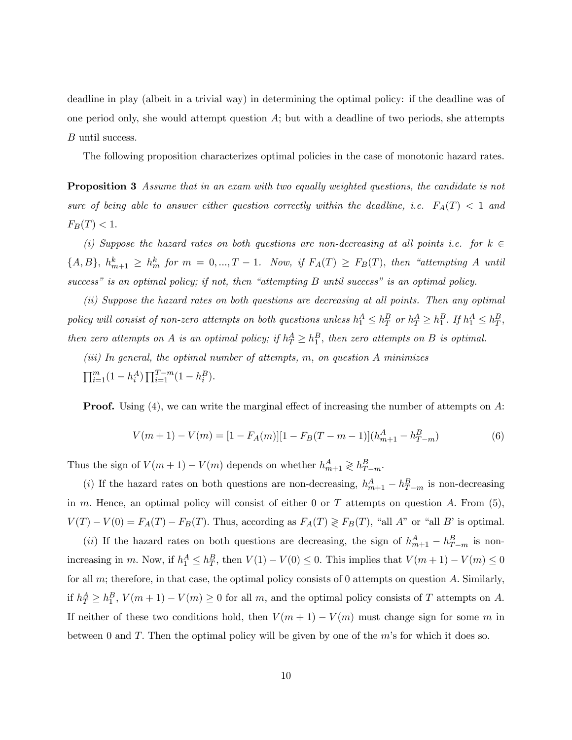deadline in play (albeit in a trivial way) in determining the optimal policy: if the deadline was of one period only, she would attempt question  $A$ ; but with a deadline of two periods, she attempts B until success.

The following proposition characterizes optimal policies in the case of monotonic hazard rates.

**Proposition 3** Assume that in an exam with two equally weighted questions, the candidate is not sure of being able to answer either question correctly within the deadline, i.e.  $F_A(T)$  < 1 and  $F_B(T) < 1.$ 

(i) Suppose the hazard rates on both questions are non-decreasing at all points i.e. for  $k \in \mathbb{Z}$  $\{A, B\}, h_{m+1}^k \geq h_m^k$  for  $m = 0, ..., T - 1$ . Now, if  $F_A(T) \geq F_B(T)$ , then "attempting A until success" is an optimal policy; if not, then "attempting B until success" is an optimal policy.

(ii) Suppose the hazard rates on both questions are decreasing at all points. Then any optimal policy will consist of non-zero attempts on both questions unless  $h_1^A \leq h_T^B$  or  $h_T^A \geq h_1^B$ . If  $h_1^A \leq h_T^B$ , then zero attempts on A is an optimal policy; if  $h_T^A \geq h_1^B$ , then zero attempts on B is optimal.

(iii) In general, the optimal number of attempts, m, on question A minimizes

 $\prod_{i=1}^{m} (1 - h_i^A) \prod_{i=1}^{T-m} (1 - h_i^B).$ 

**Proof.** Using (4), we can write the marginal effect of increasing the number of attempts on A:

$$
V(m+1) - V(m) = [1 - F_A(m)][1 - F_B(T - m - 1)](h_{m+1}^A - h_{T-m}^B)
$$
\n(6)

Thus the sign of  $V(m+1) - V(m)$  depends on whether  $h_{m+1}^A \geq h_{T-m}^B$ .

(i) If the hazard rates on both questions are non-decreasing,  $h_{m+1}^A - h_{T-m}^B$  is non-decreasing in m. Hence, an optimal policy will consist of either 0 or  $T$  attempts on question  $A$ . From (5),  $V(T) - V(0) = F_A(T) - F_B(T)$ . Thus, according as  $F_A(T) \geq F_B(T)$ , "all A" or "all B" is optimal.

(ii) If the hazard rates on both questions are decreasing, the sign of  $h_{m+1}^A - h_{T-m}^B$  is nonincreasing in m. Now, if  $h_1^A \leq h_T^B$ , then  $V(1) - V(0) \leq 0$ . This implies that  $V(m + 1) - V(m) \leq 0$ for all  $m$ ; therefore, in that case, the optimal policy consists of 0 attempts on question  $A$ . Similarly, if  $h_T^A \ge h_1^B$ ,  $V(m+1) - V(m) \ge 0$  for all m, and the optimal policy consists of T attempts on A. If neither of these two conditions hold, then  $V(m + 1) - V(m)$  must change sign for some m in between 0 and  $T$ . Then the optimal policy will be given by one of the  $m$ 's for which it does so.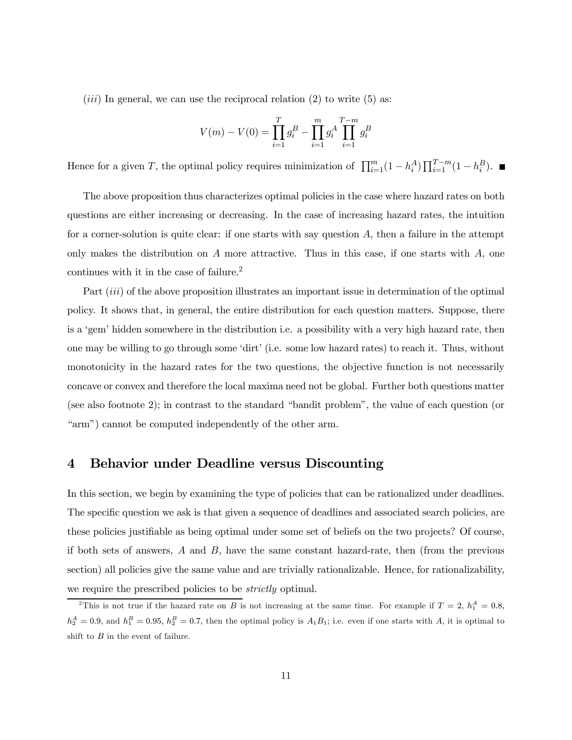$(iii)$  In general, we can use the reciprocal relation (2) to write (5) as:

$$
V(m) - V(0) = \prod_{i=1}^{T} g_i^B - \prod_{i=1}^{m} g_i^A \prod_{i=1}^{T-m} g_i^B
$$

Hence for a given T, the optimal policy requires minimization of  $\prod_{i=1}^{m} (1 - h_i^A) \prod_{i=1}^{T-m} (1 - h_i^B)$ .

The above proposition thus characterizes optimal policies in the case where hazard rates on both questions are either increasing or decreasing. In the case of increasing hazard rates, the intuition for a corner-solution is quite clear: if one starts with say question  $A$ , then a failure in the attempt only makes the distribution on  $A$  more attractive. Thus in this case, if one starts with  $A$ , one continues with it in the case of failure.2

Part *(iii)* of the above proposition illustrates an important issue in determination of the optimal policy. It shows that, in general, the entire distribution for each question matters. Suppose, there is a 'gem' hidden somewhere in the distribution i.e. a possibility with a very high hazard rate, then one may be willing to go through some 'dirt' (i.e. some low hazard rates) to reach it. Thus, without monotonicity in the hazard rates for the two questions, the objective function is not necessarily concave or convex and therefore the local maxima need not be global. Further both questions matter (see also footnote 2); in contrast to the standard "bandit problem", the value of each question (or "arm") cannot be computed independently of the other arm.

## 4 Behavior under Deadline versus Discounting

In this section, we begin by examining the type of policies that can be rationalized under deadlines. The specific question we ask is that given a sequence of deadlines and associated search policies, are these policies justifiable as being optimal under some set of beliefs on the two projects? Of course, if both sets of answers,  $A$  and  $B$ , have the same constant hazard-rate, then (from the previous section) all policies give the same value and are trivially rationalizable. Hence, for rationalizability, we require the prescribed policies to be *strictly* optimal.

<sup>&</sup>lt;sup>2</sup>This is not true if the hazard rate on B is not increasing at the same time. For example if  $T = 2$ ,  $h_1^A = 0.8$ ,  $h_2^A = 0.9$ , and  $h_1^B = 0.95$ ,  $h_2^B = 0.7$ , then the optimal policy is  $A_1B_1$ ; i.e. even if one starts with A, it is optimal to shift to  $B$  in the event of failure.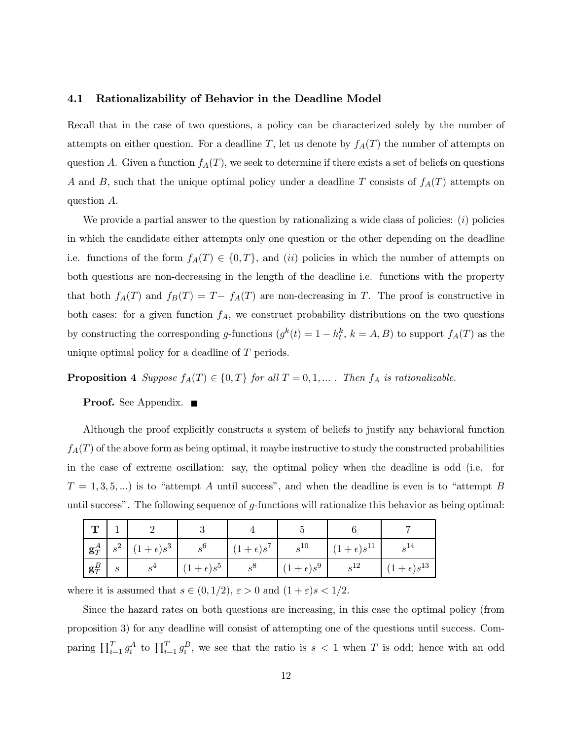#### 4.1 Rationalizability of Behavior in the Deadline Model

Recall that in the case of two questions, a policy can be characterized solely by the number of attempts on either question. For a deadline T, let us denote by  $f_A(T)$  the number of attempts on question A. Given a function  $f_A(T)$ , we seek to determine if there exists a set of beliefs on questions A and B, such that the unique optimal policy under a deadline T consists of  $f_A(T)$  attempts on question A.

We provide a partial answer to the question by rationalizing a wide class of policies:  $(i)$  policies in which the candidate either attempts only one question or the other depending on the deadline i.e. functions of the form  $f_A(T) \in \{0, T\}$ , and (ii) policies in which the number of attempts on both questions are non-decreasing in the length of the deadline i.e. functions with the property that both  $f_A(T)$  and  $f_B(T) = T - f_A(T)$  are non-decreasing in T. The proof is constructive in both cases: for a given function  $f_A$ , we construct probability distributions on the two questions by constructing the corresponding g-functions  $(g^k(t) = 1 - h_t^k, k = A, B)$  to support  $f_A(T)$  as the unique optimal policy for a deadline of T periods.

**Proposition 4** Suppose  $f_A(T) \in \{0, T\}$  for all  $T = 0, 1, ...$  . Then  $f_A$  is rationalizable.

**Proof.** See Appendix. ■

Although the proof explicitly constructs a system of beliefs to justify any behavioral function  $f_A(T)$  of the above form as being optimal, it maybe instructive to study the constructed probabilities in the case of extreme oscillation: say, the optimal policy when the deadline is odd (i.e. for  $T = 1, 3, 5, \ldots$ ) is to "attempt A until success", and when the deadline is even is to "attempt B until success". The following sequence of g-functions will rationalize this behavior as being optimal:

| $\blacksquare$                 |                  |                   |                   |                   |                   |                      |                      |
|--------------------------------|------------------|-------------------|-------------------|-------------------|-------------------|----------------------|----------------------|
| $\mid \mathbf{g}_T^A \mid s^2$ |                  | $(1+\epsilon)s^3$ | $s^6$             | $(1+\epsilon)s^7$ | $s^{10}$          | $(1+\epsilon)s^{11}$ |                      |
| $\mathbf{g}_T^B$               | $\boldsymbol{s}$ | $s^4$             | $(1+\epsilon)s^5$ | $s^8$             | $(1+\epsilon)s^9$ | $s^{12}$             | $(1+\epsilon)s^{13}$ |

where it is assumed that  $s \in (0, 1/2)$ ,  $\varepsilon > 0$  and  $(1 + \varepsilon)s < 1/2$ .

Since the hazard rates on both questions are increasing, in this case the optimal policy (from proposition 3) for any deadline will consist of attempting one of the questions until success. Comparing  $\prod_{i=1}^T g_i^A$  to  $\prod_{i=1}^T g_i^B$ , we see that the ratio is  $s < 1$  when T is odd; hence with an odd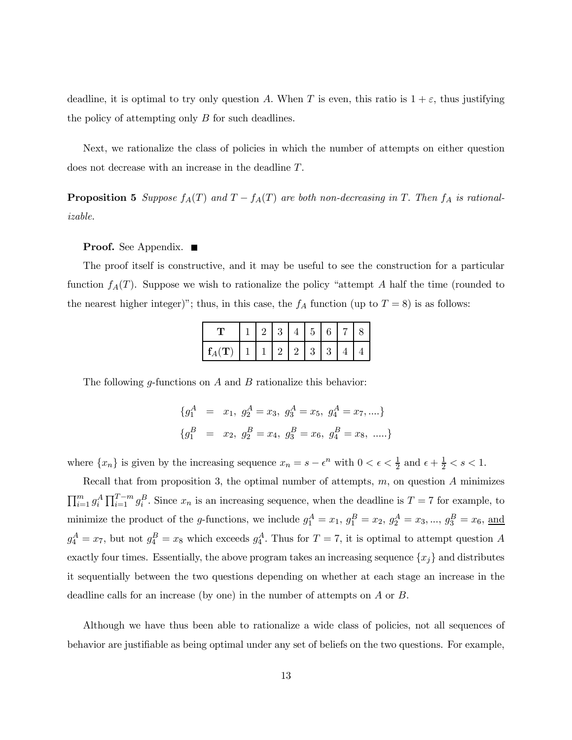deadline, it is optimal to try only question A. When T is even, this ratio is  $1 + \varepsilon$ , thus justifying the policy of attempting only B for such deadlines.

Next, we rationalize the class of policies in which the number of attempts on either question does not decrease with an increase in the deadline T.

**Proposition 5** Suppose  $f_A(T)$  and  $T - f_A(T)$  are both non-decreasing in T. Then  $f_A$  is rationalizable.

## Proof. See Appendix. ■

The proof itself is constructive, and it may be useful to see the construction for a particular function  $f_A(T)$ . Suppose we wish to rationalize the policy "attempt A half the time (rounded to the nearest higher integer)"; thus, in this case, the  $f_A$  function (up to  $T = 8$ ) is as follows:

|                      |  |    | $\mathbf b$ |  |  |
|----------------------|--|----|-------------|--|--|
| $\vert f_4(T) \vert$ |  | 21 | 3           |  |  |

The following *q*-functions on  $A$  and  $B$  rationalize this behavior:

$$
\begin{aligned}\n\{g_1^A &= x_1, \ g_2^A = x_3, \ g_3^A = x_5, \ g_4^A = x_7, \dots\} \\
\{g_1^B &= x_2, \ g_2^B = x_4, \ g_3^B = x_6, \ g_4^B = x_8, \ \dots\end{aligned}
$$

where  $\{x_n\}$  is given by the increasing sequence  $x_n = s - \epsilon^n$  with  $0 < \epsilon < \frac{1}{2}$  and  $\epsilon + \frac{1}{2} < s < 1$ .

Recall that from proposition 3, the optimal number of attempts,  $m$ , on question  $A$  minimizes  $\prod_{i=1}^m g_i^A \prod_{i=1}^{T-m} g_i^B$ . Since  $x_n$  is an increasing sequence, when the deadline is  $T = 7$  for example, to minimize the product of the g-functions, we include  $g_1^A = x_1$ ,  $g_1^B = x_2$ ,  $g_2^A = x_3$ , ...,  $g_3^B = x_6$ , and  $g_4^A = x_7$ , but not  $g_4^B = x_8$  which exceeds  $g_4^A$ . Thus for  $T = 7$ , it is optimal to attempt question A exactly four times. Essentially, the above program takes an increasing sequence  ${x_j}$  and distributes it sequentially between the two questions depending on whether at each stage an increase in the deadline calls for an increase (by one) in the number of attempts on A or B.

Although we have thus been able to rationalize a wide class of policies, not all sequences of behavior are justifiable as being optimal under any set of beliefs on the two questions. For example,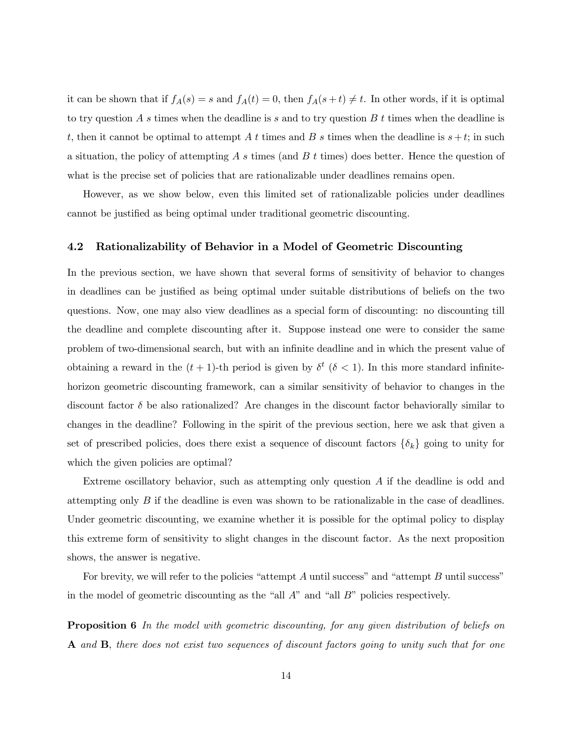it can be shown that if  $f_A(s) = s$  and  $f_A(t) = 0$ , then  $f_A(s + t) \neq t$ . In other words, if it is optimal to try question A s times when the deadline is s and to try question B t times when the deadline is t, then it cannot be optimal to attempt A t times and B s times when the deadline is  $s + t$ ; in such a situation, the policy of attempting A s times (and B t times) does better. Hence the question of what is the precise set of policies that are rationalizable under deadlines remains open.

However, as we show below, even this limited set of rationalizable policies under deadlines cannot be justified as being optimal under traditional geometric discounting.

## 4.2 Rationalizability of Behavior in a Model of Geometric Discounting

In the previous section, we have shown that several forms of sensitivity of behavior to changes in deadlines can be justified as being optimal under suitable distributions of beliefs on the two questions. Now, one may also view deadlines as a special form of discounting: no discounting till the deadline and complete discounting after it. Suppose instead one were to consider the same problem of two-dimensional search, but with an infinite deadline and in which the present value of obtaining a reward in the  $(t + 1)$ -th period is given by  $\delta^t$  ( $\delta < 1$ ). In this more standard infinitehorizon geometric discounting framework, can a similar sensitivity of behavior to changes in the discount factor  $\delta$  be also rationalized? Are changes in the discount factor behaviorally similar to changes in the deadline? Following in the spirit of the previous section, here we ask that given a set of prescribed policies, does there exist a sequence of discount factors  $\{\delta_k\}$  going to unity for which the given policies are optimal?

Extreme oscillatory behavior, such as attempting only question A if the deadline is odd and attempting only B if the deadline is even was shown to be rationalizable in the case of deadlines. Under geometric discounting, we examine whether it is possible for the optimal policy to display this extreme form of sensitivity to slight changes in the discount factor. As the next proposition shows, the answer is negative.

For brevity, we will refer to the policies "attempt  $A$  until success" and "attempt  $B$  until success" in the model of geometric discounting as the "all  $A$ " and "all  $B$ " policies respectively.

**Proposition 6** In the model with geometric discounting, for any given distribution of beliefs on A and B, there does not exist two sequences of discount factors going to unity such that for one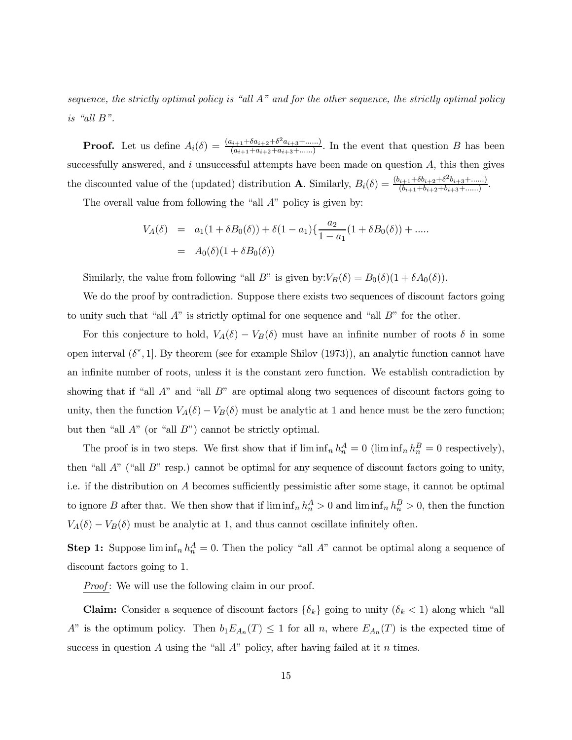sequence, the strictly optimal policy is "all A" and for the other sequence, the strictly optimal policy is "all B".

**Proof.** Let us define  $A_i(\delta) = \frac{(a_{i+1} + \delta a_{i+2} + \delta^2 a_{i+3} + \dots)}{(a_{i+1} + a_{i+2} + a_{i+3} + \dots)}$ . In the event that question B has been successfully answered, and  $i$  unsuccessful attempts have been made on question  $A$ , this then gives the discounted value of the (updated) distribution **A**. Similarly,  $B_i(\delta) = \frac{(b_{i+1} + \delta b_{i+2} + \delta^2 b_{i+3} + \dots)}{(b_{i+1} + b_{i+2} + b_{i+3} + \dots)}$ .

The overall value from following the "all A" policy is given by:

$$
V_A(\delta) = a_1(1 + \delta B_0(\delta)) + \delta(1 - a_1)\left\{\frac{a_2}{1 - a_1}(1 + \delta B_0(\delta)) + \dots\right\}
$$
  
=  $A_0(\delta)(1 + \delta B_0(\delta))$ 

Similarly, the value from following "all B" is given by: $V_B(\delta) = B_0(\delta)(1 + \delta A_0(\delta)).$ 

We do the proof by contradiction. Suppose there exists two sequences of discount factors going to unity such that "all  $A$ " is strictly optimal for one sequence and "all  $B$ " for the other.

For this conjecture to hold,  $V_A(\delta) - V_B(\delta)$  must have an infinite number of roots  $\delta$  in some open interval  $(\delta^*, 1]$ . By theorem (see for example Shilov (1973)), an analytic function cannot have an infinite number of roots, unless it is the constant zero function. We establish contradiction by showing that if "all  $A$ " and "all  $B$ " are optimal along two sequences of discount factors going to unity, then the function  $V_A(\delta) - V_B(\delta)$  must be analytic at 1 and hence must be the zero function; but then "all  $A$ " (or "all  $B$ ") cannot be strictly optimal.

The proof is in two steps. We first show that if  $\liminf_n h_n^A = 0$  ( $\liminf_n h_n^B = 0$  respectively), then "all  $A$ " ("all  $B$ " resp.) cannot be optimal for any sequence of discount factors going to unity, i.e. if the distribution on A becomes sufficiently pessimistic after some stage, it cannot be optimal to ignore B after that. We then show that if  $\liminf_n h_n^A > 0$  and  $\liminf_n h_n^B > 0$ , then the function  $V_A(\delta) - V_B(\delta)$  must be analytic at 1, and thus cannot oscillate infinitely often.

**Step 1:** Suppose  $\liminf_n h_n^A = 0$ . Then the policy "all A" cannot be optimal along a sequence of discount factors going to 1.

*Proof*: We will use the following claim in our proof.

**Claim:** Consider a sequence of discount factors  $\{\delta_k\}$  going to unity  $(\delta_k < 1)$  along which "all A" is the optimum policy. Then  $b_1E_{A_n}(T) \leq 1$  for all n, where  $E_{A_n}(T)$  is the expected time of success in question A using the "all  $A$ " policy, after having failed at it n times.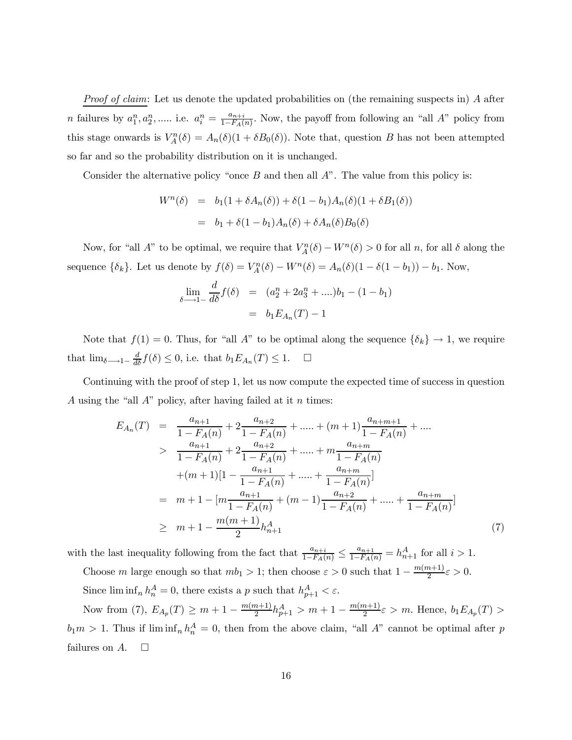*Proof of claim:* Let us denote the updated probabilities on (the remaining suspects in) A after *n* failures by  $a_1^n, a_2^n, \dots$  i.e.  $a_i^n = \frac{a_{n+i}}{1 - F_A(n)}$ . Now, the payoff from following an "all A" policy from this stage onwards is  $V_A^n(\delta) = A_n(\delta)(1 + \delta B_0(\delta))$ . Note that, question B has not been attempted so far and so the probability distribution on it is unchanged.

Consider the alternative policy "once  $B$  and then all  $A$ ". The value from this policy is:

$$
Wn(\delta) = b_1(1 + \delta A_n(\delta)) + \delta (1 - b_1)A_n(\delta)(1 + \delta B_1(\delta))
$$
  
= b\_1 + \delta (1 - b\_1)A\_n(\delta) + \delta A\_n(\delta)B\_0(\delta)

Now, for "all A" to be optimal, we require that  $V_A^n(\delta) - W^n(\delta) > 0$  for all n, for all  $\delta$  along the sequence  $\{\delta_k\}$ . Let us denote by  $f(\delta) = V_A^n(\delta) - W^n(\delta) = A_n(\delta)(1 - \delta(1 - b_1)) - b_1$ . Now,

$$
\lim_{\delta \to 1-} \frac{d}{d\delta} f(\delta) = (a_2^n + 2a_3^n + ....)b_1 - (1 - b_1)
$$

$$
= b_1 E_{A_n}(T) - 1
$$

Note that  $f(1) = 0$ . Thus, for "all A" to be optimal along the sequence  $\{\delta_k\} \to 1$ , we require that  $\lim_{\delta \longrightarrow 1^-} \frac{d}{d\delta} f(\delta) \leq 0$ , i.e. that  $b_1 E_{A_n}(T) \leq 1$ .  $\Box$ 

Continuing with the proof of step 1, let us now compute the expected time of success in question A using the "all  $A$ " policy, after having failed at it n times:

$$
E_{A_n}(T) = \frac{a_{n+1}}{1 - F_A(n)} + 2\frac{a_{n+2}}{1 - F_A(n)} + \dots + (m+1)\frac{a_{n+m+1}}{1 - F_A(n)} + \dots
$$
  
> 
$$
\frac{a_{n+1}}{1 - F_A(n)} + 2\frac{a_{n+2}}{1 - F_A(n)} + \dots + m\frac{a_{n+m}}{1 - F_A(n)}
$$
  
+
$$
(m+1)[1 - \frac{a_{n+1}}{1 - F_A(n)} + \dots + \frac{a_{n+m}}{1 - F_A(n)}]
$$
  
= 
$$
m + 1 - [m\frac{a_{n+1}}{1 - F_A(n)} + (m-1)\frac{a_{n+2}}{1 - F_A(n)} + \dots + \frac{a_{n+m}}{1 - F_A(n)}]
$$
  
\ge 
$$
m + 1 - \frac{m(m+1)}{2}h_{n+1}^A
$$
 (7)

with the last inequality following from the fact that  $\frac{a_{n+i}}{1-F_A(n)} \leq \frac{a_{n+1}}{1-F_A(n)} = h_{n+1}^A$  for all  $i > 1$ .

Choose m large enough so that  $mb_1 > 1$ ; then choose  $\varepsilon > 0$  such that  $1 - \frac{m(m+1)}{2}\varepsilon > 0$ .

Since  $\liminf_n h_n^A = 0$ , there exists a p such that  $h_{p+1}^A < \varepsilon$ .

Now from (7),  $E_{A_p}(T) \ge m + 1 - \frac{m(m+1)}{2}h_{p+1}^A > m + 1 - \frac{m(m+1)}{2}\varepsilon > m$ . Hence,  $b_1E_{A_p}(T) >$  $b_1m > 1$ . Thus if  $\liminf_n h_n^A = 0$ , then from the above claim, "all A" cannot be optimal after p failures on  $A$ .  $\square$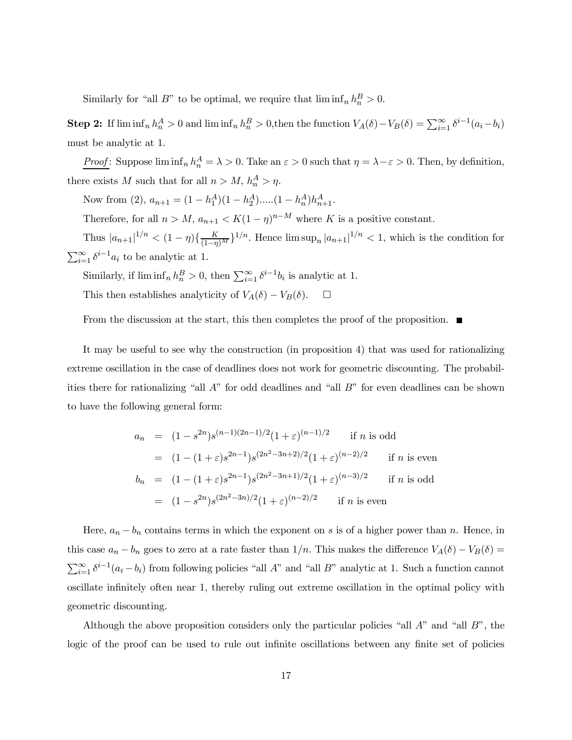Similarly for "all B" to be optimal, we require that  $\liminf_n h_n^B > 0$ .

**Step 2:** If  $\liminf_n h_n^A > 0$  and  $\liminf_n h_n^B > 0$ , then the function  $V_A(\delta) - V_B(\delta) = \sum_{i=1}^{\infty} \delta^{i-1}(a_i - b_i)$ must be analytic at 1.

Proof: Suppose  $\liminf_n h_n^A = \lambda > 0$ . Take an  $\varepsilon > 0$  such that  $\eta = \lambda - \varepsilon > 0$ . Then, by definition, there exists M such that for all  $n > M$ ,  $h_n^A > \eta$ .

Now from (2),  $a_{n+1} = (1 - h_1^A)(1 - h_2^A) \dots (1 - h_n^A) h_{n+1}^A$ .

Therefore, for all  $n > M$ ,  $a_{n+1} < K(1 - \eta)^{n-M}$  where K is a positive constant.

Thus  $|a_{n+1}|^{1/n} < (1 - \eta)\{\frac{K}{(1-\eta)^M}\}^{1/n}$ . Hence  $\limsup_n |a_{n+1}|^{1/n} < 1$ , which is the condition for  $\sum_{i=1}^{\infty} \delta^{i-1} a_i$  to be analytic at 1.

Similarly, if  $\liminf_n h_n^B > 0$ , then  $\sum_{i=1}^{\infty} \delta^{i-1} b_i$  is analytic at 1. This then establishes analyticity of  $V_A(\delta) - V_B(\delta)$ .  $\Box$ 

From the discussion at the start, this then completes the proof of the proposition.  $\blacksquare$ 

It may be useful to see why the construction (in proposition 4) that was used for rationalizing extreme oscillation in the case of deadlines does not work for geometric discounting. The probabilities there for rationalizing "all A" for odd deadlines and "all B" for even deadlines can be shown to have the following general form:

$$
a_n = (1 - s^{2n})s^{(n-1)(2n-1)/2}(1+\varepsilon)^{(n-1)/2} \quad \text{if } n \text{ is odd}
$$
  
\n
$$
= (1 - (1+\varepsilon)s^{2n-1})s^{(2n^2-3n+2)/2}(1+\varepsilon)^{(n-2)/2} \quad \text{if } n \text{ is even}
$$
  
\n
$$
b_n = (1 - (1+\varepsilon)s^{2n-1})s^{(2n^2-3n+1)/2}(1+\varepsilon)^{(n-3)/2} \quad \text{if } n \text{ is odd}
$$
  
\n
$$
= (1 - s^{2n})s^{(2n^2-3n)/2}(1+\varepsilon)^{(n-2)/2} \quad \text{if } n \text{ is even}
$$

Here,  $a_n - b_n$  contains terms in which the exponent on s is of a higher power than n. Hence, in this case  $a_n - b_n$  goes to zero at a rate faster than  $1/n$ . This makes the difference  $V_A(\delta) - V_B(\delta) =$  $\sum_{i=1}^{\infty} \delta^{i-1}(a_i - b_i)$  from following policies "all A" and "all B" analytic at 1. Such a function cannot oscillate infinitely often near 1, thereby ruling out extreme oscillation in the optimal policy with geometric discounting.

Although the above proposition considers only the particular policies "all  $A$ " and "all  $B$ ", the logic of the proof can be used to rule out infinite oscillations between any finite set of policies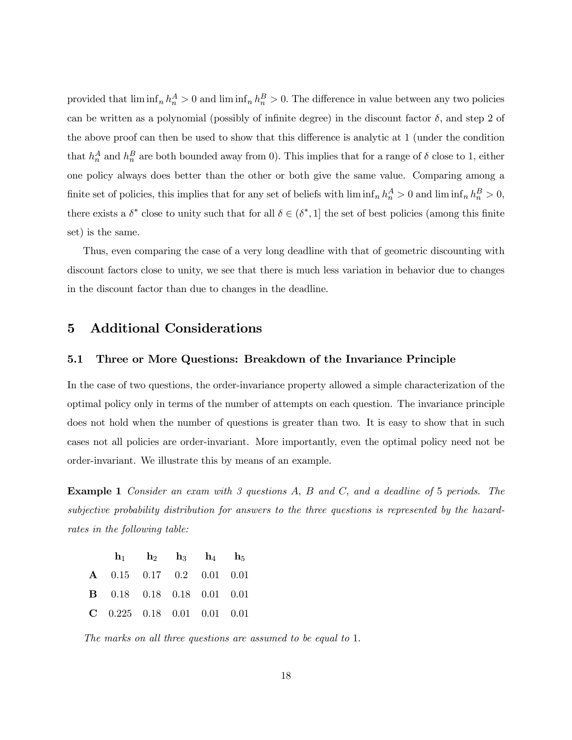provided that  $\liminf_n h_n^A > 0$  and  $\liminf_n h_n^B > 0$ . The difference in value between any two policies can be written as a polynomial (possibly of infinite degree) in the discount factor  $\delta$ , and step 2 of the above proof can then be used to show that this difference is analytic at 1 (under the condition that  $h_n^A$  and  $h_n^B$  are both bounded away from 0). This implies that for a range of  $\delta$  close to 1, either one policy always does better than the other or both give the same value. Comparing among a finite set of policies, this implies that for any set of beliefs with  $\liminf_n h_n^A > 0$  and  $\liminf_n h_n^B > 0$ , there exists a  $\delta^*$  close to unity such that for all  $\delta \in (\delta^*, 1]$  the set of best policies (among this finite set) is the same.

Thus, even comparing the case of a very long deadline with that of geometric discounting with discount factors close to unity, we see that there is much less variation in behavior due to changes in the discount factor than due to changes in the deadline.

# 5 Additional Considerations

### 5.1 Three or More Questions: Breakdown of the Invariance Principle

In the case of two questions, the order-invariance property allowed a simple characterization of the optimal policy only in terms of the number of attempts on each question. The invariance principle does not hold when the number of questions is greater than two. It is easy to show that in such cases not all policies are order-invariant. More importantly, even the optimal policy need not be order-invariant. We illustrate this by means of an example.

Example 1 Consider an exam with 3 questions A, B and C, and a deadline of 5 periods. The subjective probability distribution for answers to the three questions is represented by the hazardrates in the following table:

|                                   | $\mathbf{h}_1$ $\mathbf{h}_2$ $\mathbf{h}_3$ $\mathbf{h}_4$ $\mathbf{h}_5$ |  |  |
|-----------------------------------|----------------------------------------------------------------------------|--|--|
| <b>A</b> 0.15 0.17 0.2 0.01 0.01  |                                                                            |  |  |
| <b>B</b> 0.18 0.18 0.18 0.01 0.01 |                                                                            |  |  |
| $C$ 0.225 0.18 0.01 0.01 0.01     |                                                                            |  |  |

The marks on all three questions are assumed to be equal to 1.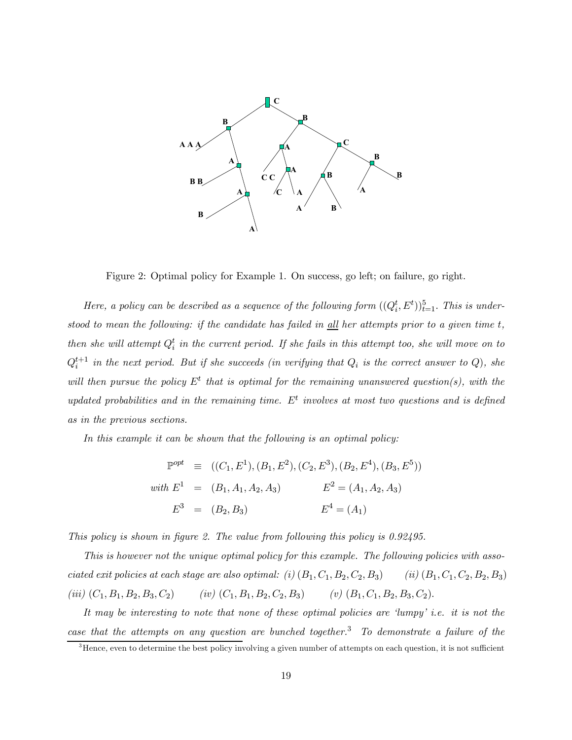

Figure 2: Optimal policy for Example 1. On success, go left; on failure, go right.

Here, a policy can be described as a sequence of the following form  $((Q_i^t, E^t))_{t=1}^5$ . This is understood to mean the following: if the candidate has failed in  $\underline{all}$  her attempts prior to a given time t, then she will attempt  $Q_i^t$  in the current period. If she fails in this attempt too, she will move on to  $Q_i^{t+1}$  in the next period. But if she succeeds (in verifying that  $Q_i$  is the correct answer to  $Q$ ), she will then pursue the policy  $E^t$  that is optimal for the remaining unanswered question(s), with the updated probabilities and in the remaining time.  $E<sup>t</sup>$  involves at most two questions and is defined as in the previous sections.

In this example it can be shown that the following is an optimal policy:

$$
\mathbb{P}^{opt} \equiv ((C_1, E^1), (B_1, E^2), (C_2, E^3), (B_2, E^4), (B_3, E^5))
$$
  
with  $E^1 = (B_1, A_1, A_2, A_3)$   $E^2 = (A_1, A_2, A_3)$   
 $E^3 = (B_2, B_3)$   $E^4 = (A_1)$ 

This policy is shown in figure 2. The value from following this policy is 0.92495.

This is however not the unique optimal policy for this example. The following policies with associated exit policies at each stage are also optimal: (i)  $(B_1, C_1, B_2, C_2, B_3)$  (ii)  $(B_1, C_1, C_2, B_2, B_3)$ (iii)  $(C_1, B_1, B_2, B_3, C_2)$  (iv)  $(C_1, B_1, B_2, C_2, B_3)$  (v)  $(B_1, C_1, B_2, B_3, C_2)$ .

It may be interesting to note that none of these optimal policies are 'lumpy' i.e. it is not the case that the attempts on any question are bunched together.<sup>3</sup> To demonstrate a failure of the

<sup>&</sup>lt;sup>3</sup>Hence, even to determine the best policy involving a given number of attempts on each question, it is not sufficient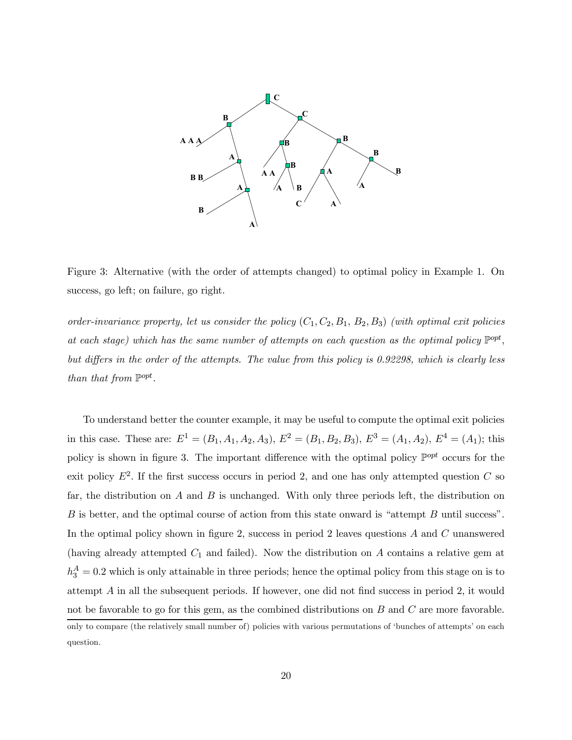

Figure 3: Alternative (with the order of attempts changed) to optimal policy in Example 1. On success, go left; on failure, go right.

order-invariance property, let us consider the policy  $(C_1, C_2, B_1, B_2, B_3)$  (with optimal exit policies at each stage) which has the same number of attempts on each question as the optimal policy  $\mathbb{P}^{opt}$ , but differs in the order of the attempts. The value from this policy is 0.92298, which is clearly less than that from  $\mathbb{P}^{opt}$ .

To understand better the counter example, it may be useful to compute the optimal exit policies in this case. These are:  $E^1 = (B_1, A_1, A_2, A_3), E^2 = (B_1, B_2, B_3), E^3 = (A_1, A_2), E^4 = (A_1);$  this policy is shown in figure 3. The important difference with the optimal policy  $\mathbb{P}^{opt}$  occurs for the exit policy  $E^2$ . If the first success occurs in period 2, and one has only attempted question C so far, the distribution on  $A$  and  $B$  is unchanged. With only three periods left, the distribution on B is better, and the optimal course of action from this state onward is "attempt B until success". In the optimal policy shown in figure 2, success in period 2 leaves questions A and C unanswered (having already attempted  $C_1$  and failed). Now the distribution on A contains a relative gem at  $h_3^A = 0.2$  which is only attainable in three periods; hence the optimal policy from this stage on is to attempt A in all the subsequent periods. If however, one did not find success in period 2, it would not be favorable to go for this gem, as the combined distributions on B and C are more favorable. only to compare (the relatively small number of) policies with various permutations of 'bunches of attempts' on each question.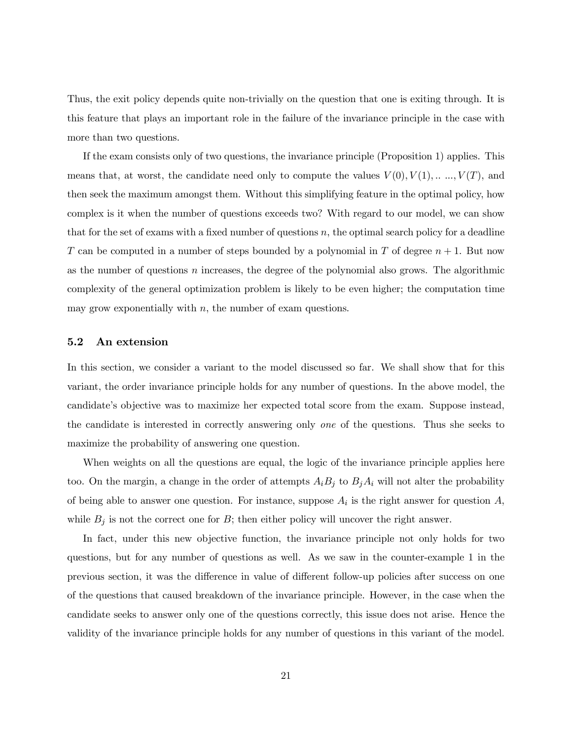Thus, the exit policy depends quite non-trivially on the question that one is exiting through. It is this feature that plays an important role in the failure of the invariance principle in the case with more than two questions.

If the exam consists only of two questions, the invariance principle (Proposition 1) applies. This means that, at worst, the candidate need only to compute the values  $V(0), V(1), \ldots, V(T)$ , and then seek the maximum amongst them. Without this simplifying feature in the optimal policy, how complex is it when the number of questions exceeds two? With regard to our model, we can show that for the set of exams with a fixed number of questions  $n$ , the optimal search policy for a deadline T can be computed in a number of steps bounded by a polynomial in T of degree  $n + 1$ . But now as the number of questions  $n$  increases, the degree of the polynomial also grows. The algorithmic complexity of the general optimization problem is likely to be even higher; the computation time may grow exponentially with  $n$ , the number of exam questions.

## 5.2 An extension

In this section, we consider a variant to the model discussed so far. We shall show that for this variant, the order invariance principle holds for any number of questions. In the above model, the candidate's objective was to maximize her expected total score from the exam. Suppose instead, the candidate is interested in correctly answering only one of the questions. Thus she seeks to maximize the probability of answering one question.

When weights on all the questions are equal, the logic of the invariance principle applies here too. On the margin, a change in the order of attempts  $A_iB_j$  to  $B_jA_i$  will not alter the probability of being able to answer one question. For instance, suppose  $A_i$  is the right answer for question  $A$ , while  $B_j$  is not the correct one for B; then either policy will uncover the right answer.

In fact, under this new objective function, the invariance principle not only holds for two questions, but for any number of questions as well. As we saw in the counter-example 1 in the previous section, it was the difference in value of different follow-up policies after success on one of the questions that caused breakdown of the invariance principle. However, in the case when the candidate seeks to answer only one of the questions correctly, this issue does not arise. Hence the validity of the invariance principle holds for any number of questions in this variant of the model.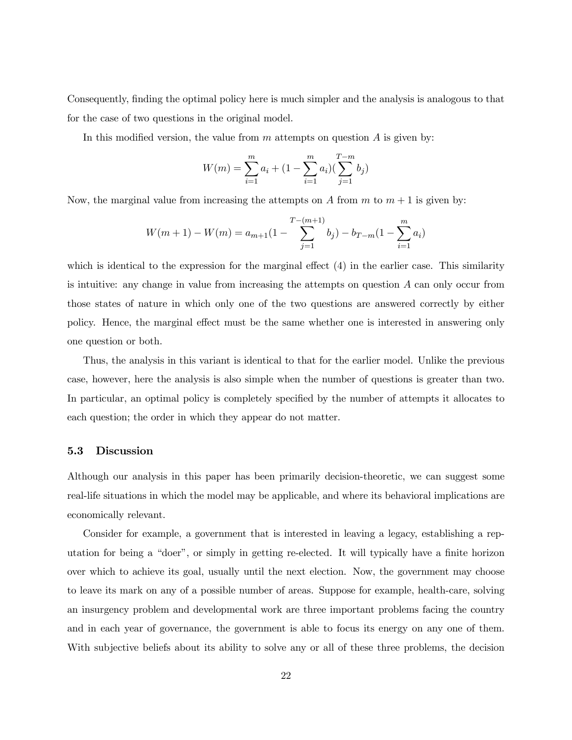Consequently, finding the optimal policy here is much simpler and the analysis is analogous to that for the case of two questions in the original model.

In this modified version, the value from  $m$  attempts on question  $A$  is given by:

$$
W(m) = \sum_{i=1}^{m} a_i + (1 - \sum_{i=1}^{m} a_i) (\sum_{j=1}^{T-m} b_j)
$$

Now, the marginal value from increasing the attempts on A from  $m$  to  $m + 1$  is given by:

$$
W(m+1) - W(m) = a_{m+1}(1 - \sum_{j=1}^{T-(m+1)} b_j) - b_{T-m}(1 - \sum_{i=1}^{m} a_i)
$$

which is identical to the expression for the marginal effect  $(4)$  in the earlier case. This similarity is intuitive: any change in value from increasing the attempts on question A can only occur from those states of nature in which only one of the two questions are answered correctly by either policy. Hence, the marginal effect must be the same whether one is interested in answering only one question or both.

Thus, the analysis in this variant is identical to that for the earlier model. Unlike the previous case, however, here the analysis is also simple when the number of questions is greater than two. In particular, an optimal policy is completely specified by the number of attempts it allocates to each question; the order in which they appear do not matter.

## 5.3 Discussion

Although our analysis in this paper has been primarily decision-theoretic, we can suggest some real-life situations in which the model may be applicable, and where its behavioral implications are economically relevant.

Consider for example, a government that is interested in leaving a legacy, establishing a reputation for being a "doer", or simply in getting re-elected. It will typically have a finite horizon over which to achieve its goal, usually until the next election. Now, the government may choose to leave its mark on any of a possible number of areas. Suppose for example, health-care, solving an insurgency problem and developmental work are three important problems facing the country and in each year of governance, the government is able to focus its energy on any one of them. With subjective beliefs about its ability to solve any or all of these three problems, the decision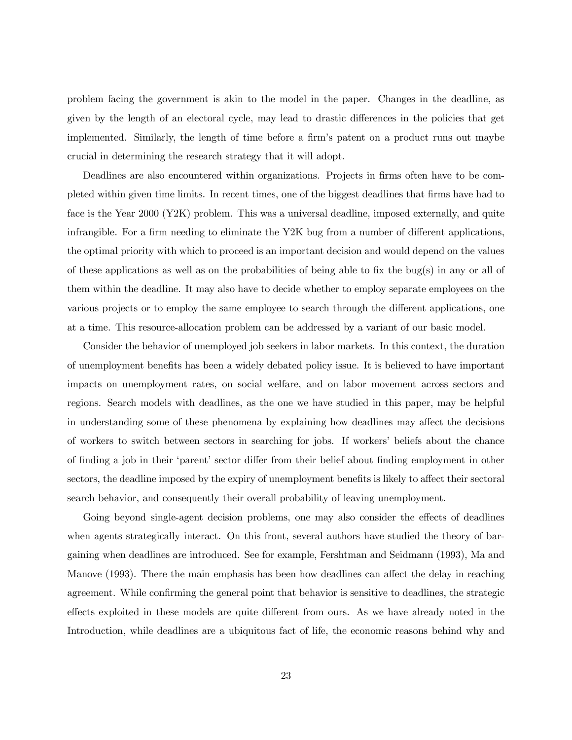problem facing the government is akin to the model in the paper. Changes in the deadline, as given by the length of an electoral cycle, may lead to drastic differences in the policies that get implemented. Similarly, the length of time before a firm's patent on a product runs out maybe crucial in determining the research strategy that it will adopt.

Deadlines are also encountered within organizations. Projects in firms often have to be completed within given time limits. In recent times, one of the biggest deadlines that firms have had to face is the Year 2000 (Y2K) problem. This was a universal deadline, imposed externally, and quite infrangible. For a firm needing to eliminate the Y2K bug from a number of different applications, the optimal priority with which to proceed is an important decision and would depend on the values of these applications as well as on the probabilities of being able to fix the bug(s) in any or all of them within the deadline. It may also have to decide whether to employ separate employees on the various projects or to employ the same employee to search through the different applications, one at a time. This resource-allocation problem can be addressed by a variant of our basic model.

Consider the behavior of unemployed job seekers in labor markets. In this context, the duration of unemployment benefits has been a widely debated policy issue. It is believed to have important impacts on unemployment rates, on social welfare, and on labor movement across sectors and regions. Search models with deadlines, as the one we have studied in this paper, may be helpful in understanding some of these phenomena by explaining how deadlines may affect the decisions of workers to switch between sectors in searching for jobs. If workers' beliefs about the chance of finding a job in their 'parent' sector differ from their belief about finding employment in other sectors, the deadline imposed by the expiry of unemployment benefits is likely to affect their sectoral search behavior, and consequently their overall probability of leaving unemployment.

Going beyond single-agent decision problems, one may also consider the effects of deadlines when agents strategically interact. On this front, several authors have studied the theory of bargaining when deadlines are introduced. See for example, Fershtman and Seidmann (1993), Ma and Manove (1993). There the main emphasis has been how deadlines can affect the delay in reaching agreement. While confirming the general point that behavior is sensitive to deadlines, the strategic effects exploited in these models are quite different from ours. As we have already noted in the Introduction, while deadlines are a ubiquitous fact of life, the economic reasons behind why and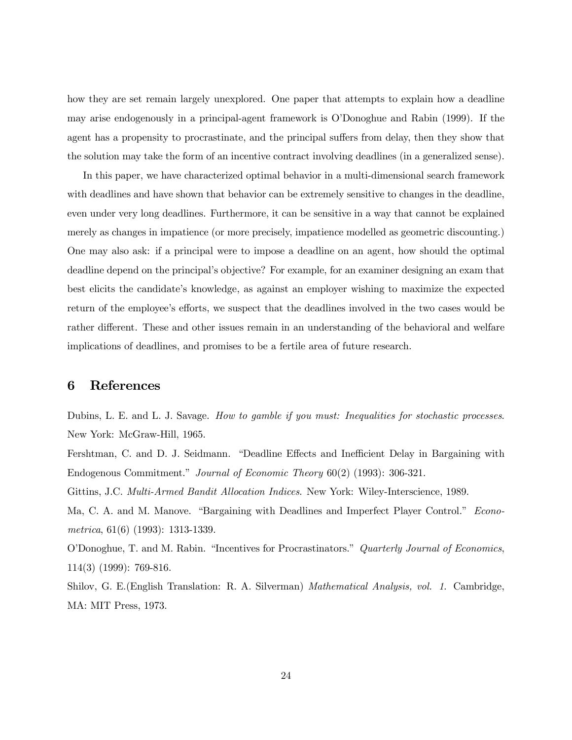how they are set remain largely unexplored. One paper that attempts to explain how a deadline may arise endogenously in a principal-agent framework is O'Donoghue and Rabin (1999). If the agent has a propensity to procrastinate, and the principal suffers from delay, then they show that the solution may take the form of an incentive contract involving deadlines (in a generalized sense).

In this paper, we have characterized optimal behavior in a multi-dimensional search framework with deadlines and have shown that behavior can be extremely sensitive to changes in the deadline, even under very long deadlines. Furthermore, it can be sensitive in a way that cannot be explained merely as changes in impatience (or more precisely, impatience modelled as geometric discounting.) One may also ask: if a principal were to impose a deadline on an agent, how should the optimal deadline depend on the principal's objective? For example, for an examiner designing an exam that best elicits the candidate's knowledge, as against an employer wishing to maximize the expected return of the employee's efforts, we suspect that the deadlines involved in the two cases would be rather different. These and other issues remain in an understanding of the behavioral and welfare implications of deadlines, and promises to be a fertile area of future research.

# 6 References

Dubins, L. E. and L. J. Savage. How to gamble if you must: Inequalities for stochastic processes. New York: McGraw-Hill, 1965.

Fershtman, C. and D. J. Seidmann. "Deadline Effects and Inefficient Delay in Bargaining with Endogenous Commitment." Journal of Economic Theory 60(2) (1993): 306-321.

Gittins, J.C. *Multi-Armed Bandit Allocation Indices*. New York: Wiley-Interscience, 1989.

Ma, C. A. and M. Manove. "Bargaining with Deadlines and Imperfect Player Control." Econometrica, 61(6) (1993): 1313-1339.

O'Donoghue, T. and M. Rabin. "Incentives for Procrastinators." Quarterly Journal of Economics, 114(3) (1999): 769-816.

Shilov, G. E.(English Translation: R. A. Silverman) Mathematical Analysis, vol. 1. Cambridge, MA: MIT Press, 1973.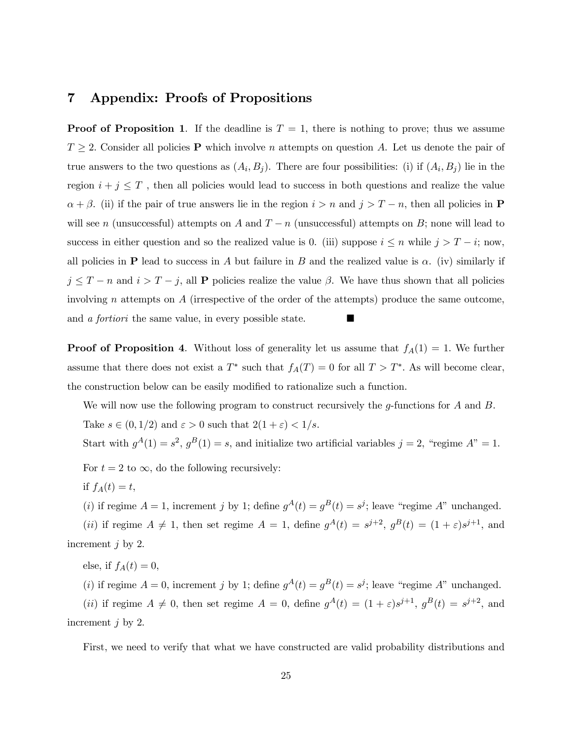## 7 Appendix: Proofs of Propositions

**Proof of Proposition 1.** If the deadline is  $T = 1$ , there is nothing to prove; thus we assume  $T \geq 2$ . Consider all policies **P** which involve *n* attempts on question *A*. Let us denote the pair of true answers to the two questions as  $(A_i, B_j)$ . There are four possibilities: (i) if  $(A_i, B_j)$  lie in the region  $i + j \leq T$ , then all policies would lead to success in both questions and realize the value  $\alpha + \beta$ . (ii) if the pair of true answers lie in the region  $i>n$  and  $j>T-n$ , then all policies in **P** will see n (unsuccessful) attempts on A and  $T - n$  (unsuccessful) attempts on B; none will lead to success in either question and so the realized value is 0. (iii) suppose  $i \leq n$  while  $j > T - i$ ; now, all policies in **P** lead to success in A but failure in B and the realized value is  $\alpha$ . (iv) similarly if  $j \leq T - n$  and  $i > T - j$ , all **P** policies realize the value  $\beta$ . We have thus shown that all policies involving n attempts on A (irrespective of the order of the attempts) produce the same outcome, and *a fortiori* the same value, in every possible state.

**Proof of Proposition 4.** Without loss of generality let us assume that  $f_A(1) = 1$ . We further assume that there does not exist a  $T^*$  such that  $f_A(T)=0$  for all  $T > T^*$ . As will become clear, the construction below can be easily modified to rationalize such a function.

We will now use the following program to construct recursively the g-functions for  $A$  and  $B$ . Take  $s \in (0, 1/2)$  and  $\varepsilon > 0$  such that  $2(1 + \varepsilon) < 1/s$ .

Start with  $g^A(1) = s^2$ ,  $g^B(1) = s$ , and initialize two artificial variables  $j = 2$ , "regime  $A$ " = 1.

For  $t = 2$  to  $\infty$ , do the following recursively:

if  $f_A(t) = t$ ,

(i) if regime  $A = 1$ , increment j by 1; define  $g^{A}(t) = g^{B}(t) = s^{j}$ ; leave "regime A" unchanged.

(ii) if regime  $A \neq 1$ , then set regime  $A = 1$ , define  $g^A(t) = s^{j+2}$ ,  $g^B(t) = (1 + \varepsilon)s^{j+1}$ , and increment  $j$  by 2.

else, if  $f_A(t)=0$ ,

(i) if regime  $A = 0$ , increment j by 1; define  $g^{A}(t) = g^{B}(t) = s^{j}$ ; leave "regime A" unchanged.

(ii) if regime  $A \neq 0$ , then set regime  $A = 0$ , define  $g^A(t) = (1 + \varepsilon)s^{j+1}$ ,  $g^B(t) = s^{j+2}$ , and increment j by 2.

First, we need to verify that what we have constructed are valid probability distributions and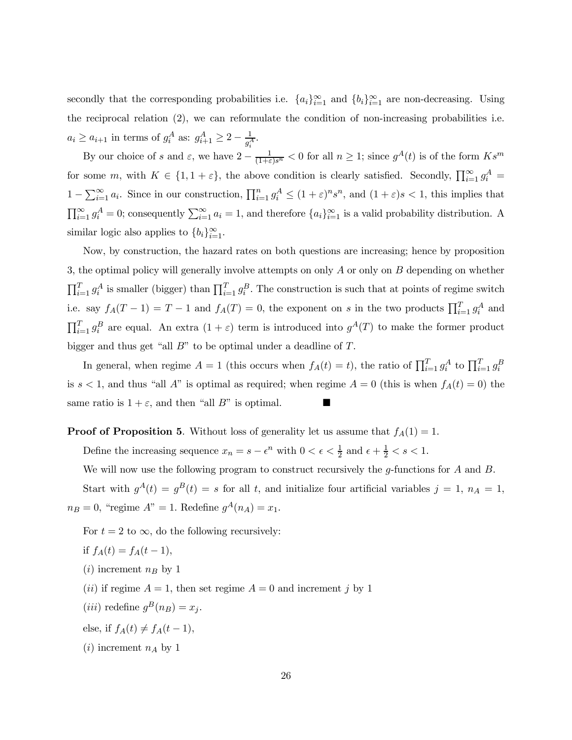secondly that the corresponding probabilities i.e.  ${a_i}_{i=1}^{\infty}$  and  ${b_i}_{i=1}^{\infty}$  are non-decreasing. Using the reciprocal relation (2), we can reformulate the condition of non-increasing probabilities i.e.  $a_i \ge a_{i+1}$  in terms of  $g_i^A$  as:  $g_{i+1}^A \ge 2 - \frac{1}{g_i^A}$ .

By our choice of s and  $\varepsilon$ , we have  $2 - \frac{1}{(1+\varepsilon)s^n} < 0$  for all  $n \geq 1$ ; since  $g^A(t)$  is of the form  $Ks^m$ for some m, with  $K \in \{1, 1 + \varepsilon\}$ , the above condition is clearly satisfied. Secondly,  $\prod_{i=1}^{\infty} g_i^A$  $1 - \sum_{i=1}^{\infty} a_i$ . Since in our construction,  $\prod_{i=1}^{n} g_i^A \le (1 + \varepsilon)^n s^n$ , and  $(1 + \varepsilon)s < 1$ , this implies that  $\prod_{i=1}^{\infty} g_i^A = 0$ ; consequently  $\sum_{i=1}^{\infty} a_i = 1$ , and therefore  $\{a_i\}_{i=1}^{\infty}$  is a valid probability distribution. A similar logic also applies to  ${b_i}_{i=1}^{\infty}$ .

Now, by construction, the hazard rates on both questions are increasing; hence by proposition 3, the optimal policy will generally involve attempts on only A or only on B depending on whether  $\prod_{i=1}^T g_i^A$  is smaller (bigger) than  $\prod_{i=1}^T g_i^B$ . The construction is such that at points of regime switch i.e. say  $f_A(T-1) = T-1$  and  $f_A(T) = 0$ , the exponent on s in the two products  $\prod_{i=1}^T g_i^A$  and  $\prod_{i=1}^{T} g_i^B$  are equal. An extra  $(1 + \varepsilon)$  term is introduced into  $g^A(T)$  to make the former product bigger and thus get "all  $B$ " to be optimal under a deadline of  $T$ .

In general, when regime  $A = 1$  (this occurs when  $f_A(t) = t$ ), the ratio of  $\prod_{i=1}^T g_i^A$  to  $\prod_{i=1}^T g_i^B$ is  $s < 1$ , and thus "all A" is optimal as required; when regime  $A = 0$  (this is when  $f_A(t) = 0$ ) the same ratio is  $1 + \varepsilon$ , and then "all B" is optimal.

**Proof of Proposition 5.** Without loss of generality let us assume that  $f_A(1) = 1$ .

Define the increasing sequence  $x_n = s - \epsilon^n$  with  $0 < \epsilon < \frac{1}{2}$  and  $\epsilon + \frac{1}{2} < s < 1$ .

We will now use the following program to construct recursively the g-functions for  $A$  and  $B$ .

Start with  $g^{A}(t) = g^{B}(t) = s$  for all t, and initialize four artificial variables  $j = 1, n_A = 1$ ,  $n_B = 0$ , "regime  $A" = 1$ . Redefine  $g^A(n_A) = x_1$ .

For  $t = 2$  to  $\infty$ , do the following recursively:

$$
if f_A(t) = f_A(t-1),
$$

- $(i)$  increment  $n_B$  by 1
- (*ii*) if regime  $A = 1$ , then set regime  $A = 0$  and increment j by 1
- (*iii*) redefine  $g^B(n_B) = x_i$ .
- else, if  $f_A(t) \neq f_A(t-1)$ ,
- $(i)$  increment  $n_A$  by 1